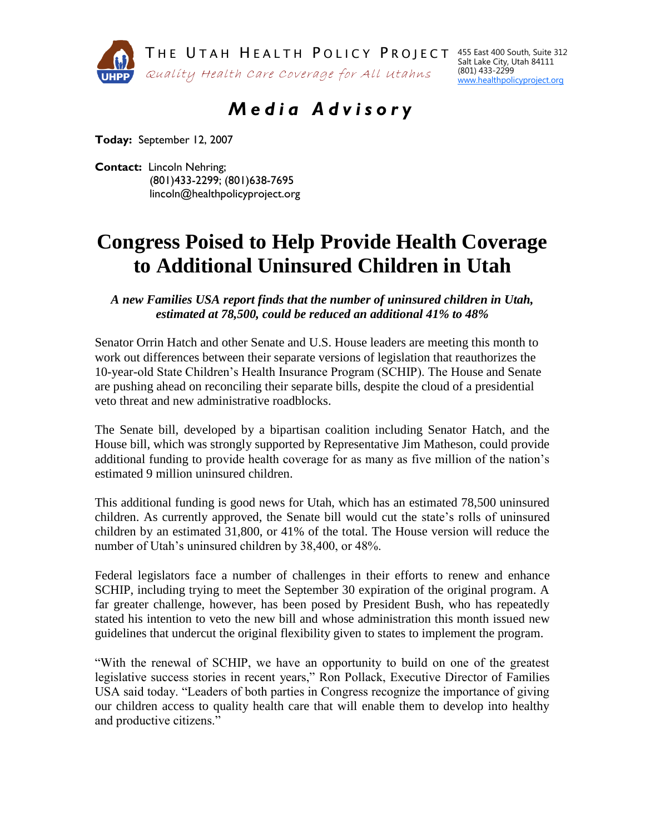

455 East 400 South, Suite 312 Salt Lake City, Utah 84111 (801) 433-2299 www.healthpolicyproject.org

## *M e d i a A d v i s o r y*

**Today:** September 12, 2007

**Contact:** Lincoln Nehring; (801)433-2299; (801)638-7695 lincoln@healthpolicyproject.org

## **Congress Poised to Help Provide Health Coverage to Additional Uninsured Children in Utah**

*A new Families USA report finds that the number of uninsured children in Utah, estimated at 78,500, could be reduced an additional 41% to 48%*

Senator Orrin Hatch and other Senate and U.S. House leaders are meeting this month to work out differences between their separate versions of legislation that reauthorizes the 10-year-old State Children's Health Insurance Program (SCHIP). The House and Senate are pushing ahead on reconciling their separate bills, despite the cloud of a presidential veto threat and new administrative roadblocks.

The Senate bill, developed by a bipartisan coalition including Senator Hatch, and the House bill, which was strongly supported by Representative Jim Matheson, could provide additional funding to provide health coverage for as many as five million of the nation's estimated 9 million uninsured children.

This additional funding is good news for Utah, which has an estimated 78,500 uninsured children. As currently approved, the Senate bill would cut the state's rolls of uninsured children by an estimated 31,800, or 41% of the total. The House version will reduce the number of Utah's uninsured children by 38,400, or 48%.

Federal legislators face a number of challenges in their efforts to renew and enhance SCHIP, including trying to meet the September 30 expiration of the original program. A far greater challenge, however, has been posed by President Bush, who has repeatedly stated his intention to veto the new bill and whose administration this month issued new guidelines that undercut the original flexibility given to states to implement the program.

"With the renewal of SCHIP, we have an opportunity to build on one of the greatest legislative success stories in recent years," Ron Pollack, Executive Director of Families USA said today. "Leaders of both parties in Congress recognize the importance of giving our children access to quality health care that will enable them to develop into healthy and productive citizens."